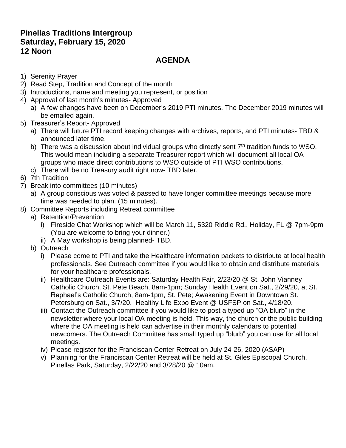## **Pinellas Traditions Intergroup Saturday, February 15, 2020 12 Noon**

# **AGENDA**

- 1) Serenity Prayer
- 2) Read Step, Tradition and Concept of the month
- 3) Introductions, name and meeting you represent, or position
- 4) Approval of last month's minutes- Approved
	- a) A few changes have been on December's 2019 PTI minutes. The December 2019 minutes will be emailed again.
- 5) Treasurer's Report- Approved
	- a) There will future PTI record keeping changes with archives, reports, and PTI minutes- TBD & announced later time.
	- b) There was a discussion about individual groups who directly sent  $7<sup>th</sup>$  tradition funds to WSO. This would mean including a separate Treasurer report which will document all local OA groups who made direct contributions to WSO outside of PTI WSO contributions.
	- c) There will be no Treasury audit right now- TBD later.
- 6) 7th Tradition
- 7) Break into committees (10 minutes)
	- a) A group conscious was voted & passed to have longer committee meetings because more time was needed to plan. (15 minutes).
- 8) Committee Reports including Retreat committee
	- a) Retention/Prevention
		- i) Fireside Chat Workshop which will be March 11, 5320 Riddle Rd., Holiday, FL @ 7pm-9pm (You are welcome to bring your dinner.)
		- ii) A May workshop is being planned- TBD.
	- b) Outreach
		- i) Please come to PTI and take the Healthcare information packets to distribute at local health professionals. See Outreach committee if you would like to obtain and distribute materials for your healthcare professionals.
		- ii) Healthcare Outreach Events are: Saturday Health Fair, 2/23/20 @ St. John Vianney Catholic Church, St. Pete Beach, 8am-1pm; Sunday Health Event on Sat., 2/29/20, at St. Raphael's Catholic Church, 8am-1pm, St. Pete; Awakening Event in Downtown St. Petersburg on Sat., 3/7/20. Healthy Life Expo Event @ USFSP on Sat., 4/18/20.
		- iii) Contact the Outreach committee if you would like to post a typed up "OA blurb" in the newsletter where your local OA meeting is held. This way, the church or the public building where the OA meeting is held can advertise in their monthly calendars to potential newcomers. The Outreach Committee has small typed up "blurb" you can use for all local meetings.
		- iv) Please register for the Franciscan Center Retreat on July 24-26, 2020 (ASAP)
		- v) Planning for the Franciscan Center Retreat will be held at St. Giles Episcopal Church, Pinellas Park, Saturday, 2/22/20 and 3/28/20 @ 10am.